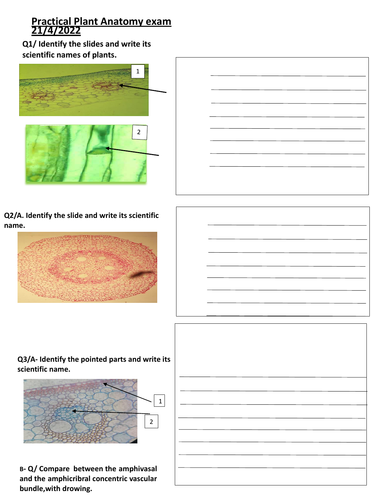## **Practical Plant Anatomy exam 21/4/2022**

**Q1/ Identify the slides and write its scientific names of plants.**



**Q2/A. Identify the slide and write its scientific name.**



**Q3/A- Identify the pointed parts and write its scientific name.**



**B- Q/ Compare between the amphivasal and the amphicribral concentric vascular bundle,with drowing.**

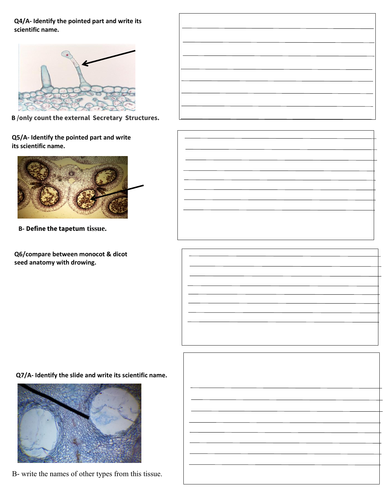**Q4/A- Identify the pointed part and write its scientific name.**



**B /only count the external Secretary Structures.**

**Q5/A- Identify the pointed part and write its scientific name.**



**B- Define the tapetum tissue.**

**Q6/compare between monocot & dicot seed anatomy with drowing.**

**Q7/A- Identify the slide and write its scientific name.**



B- write the names of other types from this tissue.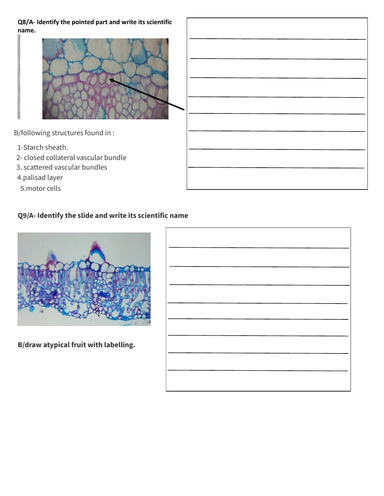**Q8/A- Identify the pointed part and write its scientific name.**



5.motor cells

## **Q9/A- Identify the slide and write its scientific name**



**B/draw atypical fruit with labelling.**